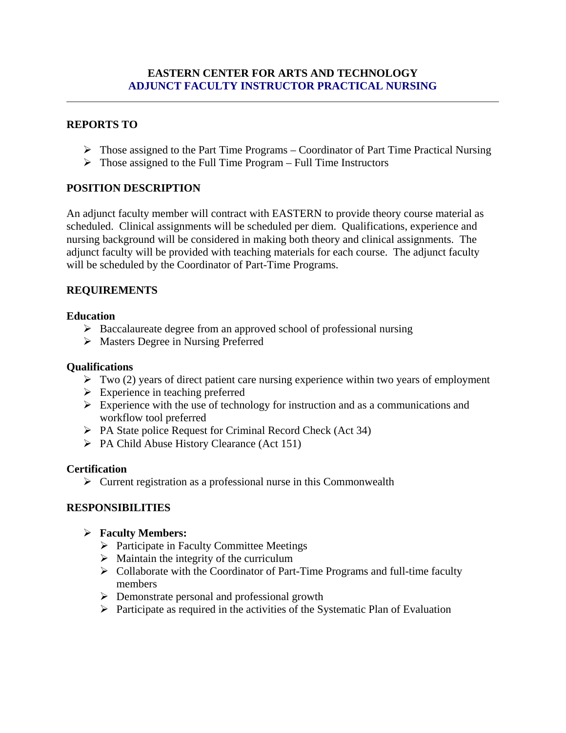### **EASTERN CENTER FOR ARTS AND TECHNOLOGY ADJUNCT FACULTY INSTRUCTOR PRACTICAL NURSING**

# **REPORTS TO**

- $\triangleright$  Those assigned to the Part Time Programs Coordinator of Part Time Practical Nursing
- $\triangleright$  Those assigned to the Full Time Program Full Time Instructors

# **POSITION DESCRIPTION**

An adjunct faculty member will contract with EASTERN to provide theory course material as scheduled. Clinical assignments will be scheduled per diem. Qualifications, experience and nursing background will be considered in making both theory and clinical assignments. The adjunct faculty will be provided with teaching materials for each course. The adjunct faculty will be scheduled by the Coordinator of Part-Time Programs.

# **REQUIREMENTS**

# **Education**

- $\triangleright$  Baccalaureate degree from an approved school of professional nursing
- Masters Degree in Nursing Preferred

### **Qualifications**

- $\triangleright$  Two (2) years of direct patient care nursing experience within two years of employment
- $\triangleright$  Experience in teaching preferred
- $\triangleright$  Experience with the use of technology for instruction and as a communications and workflow tool preferred
- $\triangleright$  PA State police Request for Criminal Record Check (Act 34)
- $\triangleright$  PA Child Abuse History Clearance (Act 151)

### **Certification**

 $\triangleright$  Current registration as a professional nurse in this Commonwealth

# **RESPONSIBILITIES**

- **Faculty Members:** 
	- $\triangleright$  Participate in Faculty Committee Meetings
	- $\triangleright$  Maintain the integrity of the curriculum
	- $\triangleright$  Collaborate with the Coordinator of Part-Time Programs and full-time faculty members
	- **Demonstrate personal and professional growth**
	- $\triangleright$  Participate as required in the activities of the Systematic Plan of Evaluation